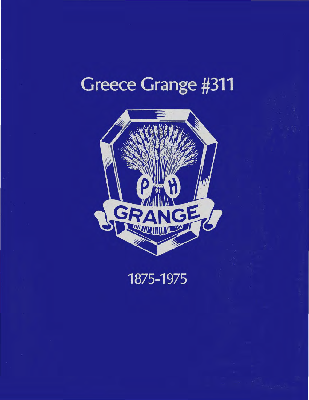# **Greece Grange #311**



1875-1975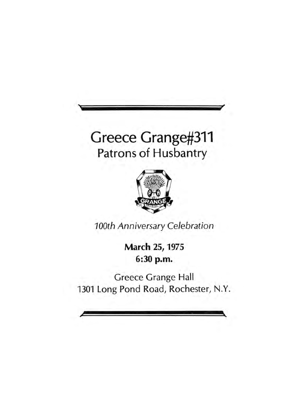# Greece Grange#311 Patrons of Husbantry



*100th Anniversary Celebration* 

March 25, 1975 6:30 p.m.

Greece Grange Hall 1301 Long Pond Road, Rochester, N.Y.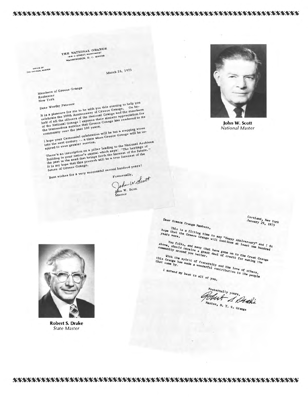#### 

THE NATIONAL GRANGE WASHINGTON, D. C. 20008

OFFICE OF<br>THE NATIONAL MASTER

March 25, 1975

Members of Greece Grange

Rochester New York

It is a pleasure for me to be with you this evening to help you Dear Worthy Patrons: It is a pleasure for me to be with you this evening to help you<br>celebrate the 100th Anniversary of Greece Grange. On be-<br>celebrate the 100th Anniversary of Greece Grange. celebrate the 100th Anniversary of Greece Grange. On be-<br>half of all the officers of the National Grange and the members half of all the officers of the National Grange and the members<br>of the National Grange I express their sincere appreciation for<br>of the National Grange I express their sincere appreciation to its<br>the trempedous service that

the tremendous service that treever

I hope your Centennial celebration will be but a stepping stone I hope your Centennial celebration will be but a stepping stone<br>into the next century -- a time when Greece Grange will be in-

There's an inscription on a pillar leading to the National Archives spired to even greater service. There's an inscription on a pillar leading to the National Archive<br>There's an inscription on a pillal which says: "The heritage of<br>Building in your nation's capital which says: "The heritage of the<br>the past is the seed tha the past is the seed that brings forth the harvest of the future<br>It is my hope that this proverb will be a true forecast of the

Best wishes for a very successful second hundred years! future of Greece Grange.

John W. Scott John W. Scott



John W. Scott **National Master** 

Cortland, New York<br>January 29, 1975 Dear Greece Grange Members, This is a fitting time to say "Happy Anniversary" and I do<br>vears more. The Greece Grange will continue at least one hundred Nove, should receive a great deal of credit for making the community around you better. this Grange has made a wonderful contribution to the people of the people I extend my best to all of you.

Fraternally yours,



**Robert S. Drake State Master**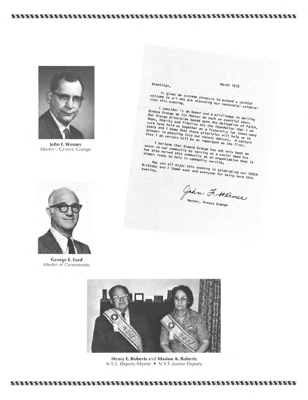EN NEUROKA NEUROKO NEUROKO NEUROKO NEUROKO NEUROKO NEUROKO NEUROKO NEUROKO NEUROKO NEUROKO NEUROKO NEUROKO NEU



John F. Werner Master-Greece Grange



**George E. Ford Master of Ceremonies** 

Greetings,

March 1975

It gives me extreme pleasure to extend a cordial<br>who are attending our centennial celebra-

Greece Consider it an honor and a priviledge in serving<br>Our Grange as its Master on such an eventful year.<br>Hope, Charity and Fidelity are the obligation of Faith,<br>sure have held us together as a fraternity for these many<br>

I believe that Greece Grange has not only been an I believe that Greece Grange has not only been an<br>has also served this community by serving as a social need but<br>always ready to help in community service.

May you all enjoy this evening in celebrating our 100th<br>avening and I thank each and everyone for being here this

Jahn F. Werner



Henry E. Roberts and Marion A. Roberts N.Y.S. Deputy Master . N.Y.S. Junior Deputy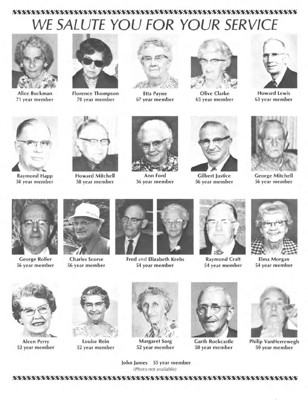## *WE SALUTE YOU FOR YOUR SERVICE*



Alice Buckman 71 year member



Florence Thompson 70 year member



Etta Payne 67 year member



Olive Clarke 65 year member



Howard Lewis 63 year member



Raymond Happ 58 year member



Howard Mitchell 58 year member



Ann Ford 56 year member



Gilbert Justice 56 year member



George Mitchell 56 year member



George Roller 56 year member



Charles Scorse 56 year member



Fred and Elizabeth Krebs 54 year member



Raymond Craft 54 year member



Elma Morgan 54 year member



Aleen Perry 52 year member



Louise Rein 52 year member



Margaret Sorg 52 year member



Garth Rockcastle 50 year member



Philip VanHerrewegh 50 year member

John James 55 year member (Photo not available)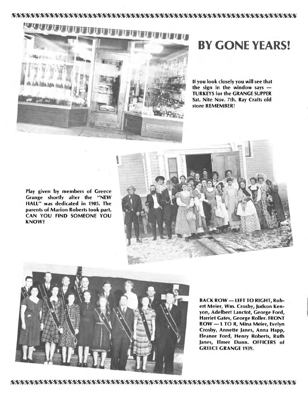



# **BY GONE YEARS!**

If you look closely you will see that the sign in the window says  $-$ TURKEYS for the GRANGE SUPPER Sat. Nite Nov. 7th. Ray Crafts old store REMEMBER!

Play given by members of Greece Grange shortly after the "NEW HALL" was dedicated in 1905. The parents of Marion Roberts took part. CAN YOU FIND SOMEONE YOU KNOW?





BACK ROW - LEFT TO RIGHT, Robert Meier, Wm. Crosby, Judson Kenyon, Adelbert Lanctot, George Ford, Harriet Gates, George Roller. FRONT ROW- L TOR, Mina Meier, Evelyn Crosby, Annette Janes, Anna Happ, Eleanor Ford, Henry Roberts, Ruth Janes, Elmer Dunn. OFFICERS of GREECE GRANGE 1939.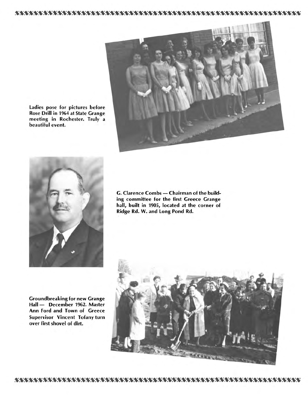Ladies pose for pictures before Rose Drill in 1964 at State Grange meeting in Rochester. Truly a beautiful event.





G. Clarence Combs - Chairman of the building committee for the first Greece Grange hall, built in 1905, located at the corner of Ridge Rd. W. and Long Pond Rd.

Groundbreaking for new Grange Hall - December 1962. Master Ann Ford and Town of Greece Supervisor Vincent Tofany turn over first shovel of dirt.

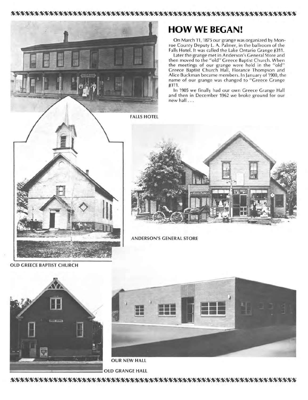



#### **FALLS HOTEL**

### **HOW WE BEGAN!**

On March 11, 1875 our grange was organized by Monroe County Deputy L. A. Palmer, in the ballroom of the Falls Hotel. It was called the Lake Ontario Grange #311.

Later the grange met in Anderson's General Store and then moved to the "old" Greece Baptist Church. When the meetings of our grange were held in the "old" Greece Baptist Church Hall, Florance Thompson and Alice Buckman became members. In January of 1900, the name of our grange was changed to "Greece Grange #311.

In 1905 we finally had our own Greece Grange Hall and then in December 1962 we broke ground for our new hall ...



**OLD GREECE BAPTIST CHURCH** 



**ANDERSON'S GENERAL STORE** 

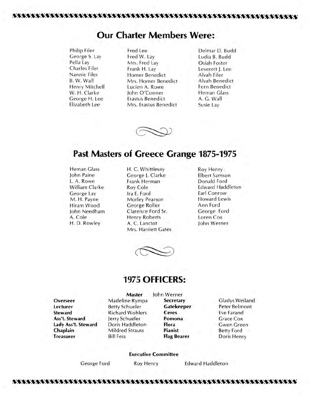### **Our Charter Members Were:**

- 
- Philip Filer Fred Lee **Delmar D. Budd**<br>George S. Lav Fred W. Lav **Delmar D. Budd** George S. Lay Fred W. Lay Ludia B. Budd Pella Lay Mrs. Fred Lay Charles Filer<br>Charles Filer Frank H Lay Leverett Le Charles Filer Frank H. Lay Leverett J. Lee Nannie Filer Homer Benedict<br>B. W. Wall Mrs. Homer Bene Mrs. Homer Benedict Alvah Benedict<br>Lucien A. Rowe **Fern Benedict** Henry Mitchell Lucien A. Rowe Fern Benedic<br>W. H. Clarke John O'Conner Heman Glass John O'Conner George H. Lee Erastus Benedict A. G. Wall<br>Elizabeth Lee Mrs. Erastus Benedict Susie Lav Mrs. Erastus Benedict Susie Lay
	-



#### **Past Masters of Greece Grange 1875-1975**

Heman Glass John Paine L.A. Rowe William Clarke George Lay M . **H.** Payne Hiram Wood John Needham A. Cole H. D. Rowley

H. C. Whittlesey George J. Clarke Frank Herman Roy Cole Ira E. Ford Morley Pearson George Roller Clarence Ford Sr. Henry Roberts A. C. Lanctot Mrs. Harriett Gates Roy Henry Elbert Samson Donald Ford Edward Haddleton Earl Conrow Howard Lewis Ann Ford George Ford Loren Cox John Werner



#### **1975 OFFICERS:**

**Overseer Lecturer Steward Ass't. Steward Lady Ass't. Steward Chaplain Treasurer** 

**Master**  Madeline Rympa Betty Schueler Richard Wohlers Jerry Schueler Doris Haddleton Mildred Strauss Bill Fess

John Werner **Secretary Gatekeeper Ceres Pomona Flora Pianist Flag Bearer** 

Gladys Weiland Peter Belmont Eve Farand Grace Cox Gwen Green Betty Ford Doris Henry

#### **Executive Committee**

George Ford Roy Henry Edward Haddleton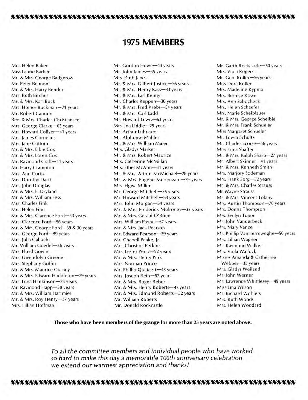### **1975 MEMBERS**

Mrs. Helen Baker Miss Laurie Barker Mr. & Mrs. George Badgerow Mr. Peter Belmont Mr. & Mrs. Harry Bender Mrs. Ruth Bircher Mr. & Mrs. Karl Bock Mrs. Homer Buckman-71 years Mr. Robert Cannon Rev. & Mrs. Charles Christiansen Mrs. George Clarke-65 years Mrs. Howard Collyer-41 years Mrs. James Cornelius Mrs. Jane Cottom Mr. & Mrs. Elbie Cox Mr. & Mrs. Loren Cox Mr. Raymond Craft-54 years Mr. Harry Crampton Mrs. Ann Curtis Mrs. Dorothy Dartt Mrs. John Douglas Mr. & Mrs. E. Dryland Mr. & Mrs. William Fess Mrs. Charles Fink Mrs. Helen Finn Mr. & Mrs. Clarence Ford-43 years Mrs. Clarence Ford-56 years Mr. & Mrs. George Ford-39 & 30 years Mrs. George Ford-39 years Mrs. julia Galluchi Mr. William Goedel-36 years Mrs. Floyd Gowin Mrs. Gwendolyn Greene Mrs. Stephany Griffin Mr. & Mrs. Maurice Gurney Mr. & Mrs. Edward Haddleton-29 years Mrs. Lena Hankinson-28 years Mr. Raymond Happ-58 years Mr. & Mrs. William Hartmier Mr. & Mrs. Roy Henry-37 years Mrs. Lillian Hoffman

Mr. Gordon Howe-44 years Mr. John James-55 years Mrs. Ruth Janes Mr. & Mrs. Gilbert Justice-56 years Mr. & Mrs. Henry Kass-33 years Mr. & Mrs. Earl Kenny Mr. Charles Keppen-30 years Mr. & Mrs. Fred Krebs-54 years Mr. & Mrs. Carl Ladd Mr. Howard Lewis-63 years Mrs. Ida Liddle-29 years Mr. Arthur Luhrssen Mr. Alphonse Mahler Mr. & Mrs. William Maier Mrs. Gladys Marker Mr. & Mrs. Robert Maurice Mrs. Catherine McMillan Mrs. Ethel McAnn-31 years Mr. & Mrs. Arthur McMichael-28 years Mr. & Mrs. Eugene Meisenzahl-29 years Mrs. Elgiva Miller Mr. George Mitchell-56 years Mr. Howard Mitchell-58 years Mrs. John Morgan-54 years Mr. & Mrs. Frederick Mulroney-33 years Mr. & Mrs. Gerald O'Brien Mrs. William Payne-67 years Mr. & Mrs. Jack Pearson Mr. Edward Pearson-39 years Mr. Chapell Peake, Jr. Mrs. Christina Perkins Mrs. Lester Perry-52 years Mr. & Mrs. Henry Pink Mrs. Norman Prince Mr. Phillip Quataert-43 years Mrs. Joseph Rein-52 years Mr. & Mrs. Roger Reber Mr. & Mrs. Henry Roberts-43 years Mr. & Mrs. Edmund Roberts-32 years Mr. William Roberts Mr. Donald Rockcastle

Mr. Garth Rockcastle-50 years Mrs. Viola Rogers Mr. Geo. Roller-56 years Miss Dora Roller Mrs. Madeline Rypma Mrs. Bernice Rowe Mrs. Ann Sabocheck Mrs. Helen Schaefer Mrs. Marie Scheiblauer Mr. & Mrs. George Scheible Mr. & Mrs. Frank Schueler Miss Margaret Schueler Mr. Edwin Schultz Mr. Charles Scorse-56 years Miss Erma Shaffer Mr. & Mrs. Ralph Sharp-27 years Mr. Albert Skinner-41 years Mr. & Mrs. Kenneth Smith Mrs. Marjory Sodeman Mrs. Frank Sorg-52 years Mr. & Mrs. Charles Strauss Mr. Wayne Strauss Mr. & Mrs. Vincent Tofany Mrs. Austin Thompson-70 years Mrs. Donna Thompson Mrs. Evelyn Tuper Mr. John Vanderbeck Mrs. Mary Vance Mr. Phillip VanHerreweghe-50 years Mrs. Lillian Wagner Mr. Raymond Walker Mrs. Viola Wallock Misses Amanda & Catherine Webber-35 years Mrs. Gladys Weiland Mr. John Werner Mr. Lawrence Whittlesey-49 years Miss Lina Wilson Mr. Richard Wohlers Mrs. Ruth Woods Mrs. Helen Woodard

**Those who have been members of the grange for more than 25 years are noted above.** 

*To all the committee members and individual people who have worked so hard to make this day* a *memorable 100th anniversary celebration*  we *extend our warmest appreciation and thanks!*